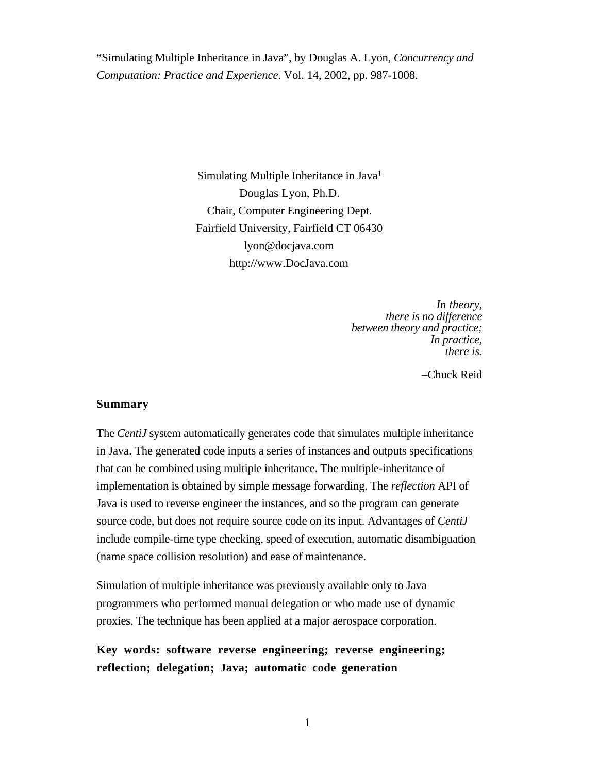> Simulating Multiple Inheritance in Java1 Douglas Lyon, Ph.D. Chair, Computer Engineering Dept. Fairfield University, Fairfield CT 06430 lyon@docjava.com http://www.DocJava.com

> > *In theory, there is no difference between theory and practice; In practice, there is.*

> > > –Chuck Reid

#### **Summary**

The *CentiJ* system automatically generates code that simulates multiple inheritance in Java. The generated code inputs a series of instances and outputs specifications that can be combined using multiple inheritance. The multiple-inheritance of implementation is obtained by simple message forwarding. The *reflection* API of Java is used to reverse engineer the instances, and so the program can generate source code, but does not require source code on its input. Advantages of *CentiJ* include compile-time type checking, speed of execution, automatic disambiguation (name space collision resolution) and ease of maintenance.

Simulation of multiple inheritance was previously available only to Java programmers who performed manual delegation or who made use of dynamic proxies. The technique has been applied at a major aerospace corporation.

**Key words: software reverse engineering; reverse engineering; reflection; delegation; Java; automatic code generation**

1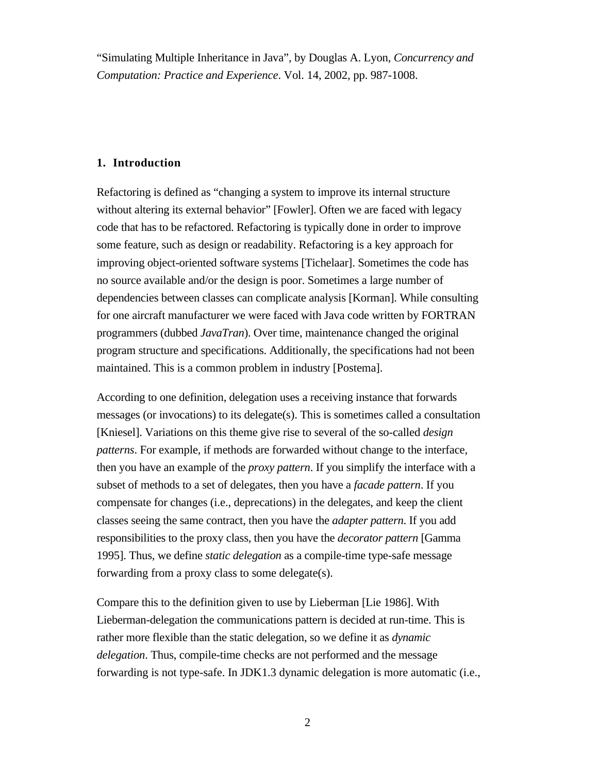#### **1. Introduction**

Refactoring is defined as "changing a system to improve its internal structure without altering its external behavior" [Fowler]. Often we are faced with legacy code that has to be refactored. Refactoring is typically done in order to improve some feature, such as design or readability. Refactoring is a key approach for improving object-oriented software systems [Tichelaar]. Sometimes the code has no source available and/or the design is poor. Sometimes a large number of dependencies between classes can complicate analysis [Korman]. While consulting for one aircraft manufacturer we were faced with Java code written by FORTRAN programmers (dubbed *JavaTran*). Over time, maintenance changed the original program structure and specifications. Additionally, the specifications had not been maintained. This is a common problem in industry [Postema].

According to one definition, delegation uses a receiving instance that forwards messages (or invocations) to its delegate(s). This is sometimes called a consultation [Kniesel]. Variations on this theme give rise to several of the so-called *design patterns*. For example, if methods are forwarded without change to the interface, then you have an example of the *proxy pattern*. If you simplify the interface with a subset of methods to a set of delegates, then you have a *facade pattern*. If you compensate for changes (i.e., deprecations) in the delegates, and keep the client classes seeing the same contract, then you have the *adapter pattern*. If you add responsibilities to the proxy class, then you have the *decorator pattern* [Gamma 1995]. Thus, we define *static delegation* as a compile-time type-safe message forwarding from a proxy class to some delegate(s).

Compare this to the definition given to use by Lieberman [Lie 1986]. With Lieberman-delegation the communications pattern is decided at run-time. This is rather more flexible than the static delegation, so we define it as *dynamic delegation*. Thus, compile-time checks are not performed and the message forwarding is not type-safe. In JDK1.3 dynamic delegation is more automatic (i.e.,

2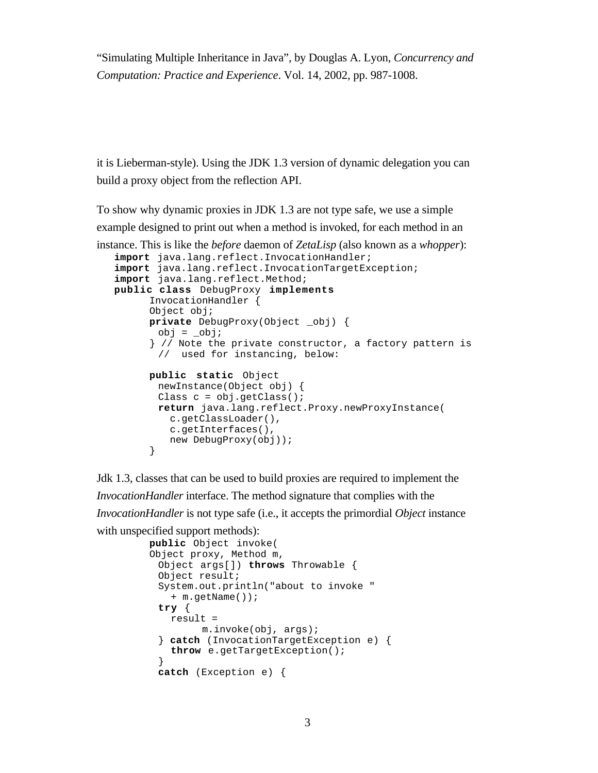it is Lieberman-style). Using the JDK 1.3 version of dynamic delegation you can build a proxy object from the reflection API.

To show why dynamic proxies in JDK 1.3 are not type safe, we use a simple example designed to print out when a method is invoked, for each method in an instance. This is like the *before* daemon of *ZetaLisp* (also known as a *whopper*):

```
import java.lang.reflect.InvocationHandler;
import java.lang.reflect.InvocationTargetException;
import java.lang.reflect.Method;
public class DebugProxy implements
     InvocationHandler {
     Object obj;
     private DebugProxy(Object _obj) {
       obj = \_obj;
      } // Note the private constructor, a factory pattern is
       // used for instancing, below:
     public static Object
       newInstance(Object obj) {
       Class c = obj.getClass();
       return java.lang.reflect.Proxy.newProxyInstance(
          c.getClassLoader(),
          c.getInterfaces(),
          new DebugProxy(obj));
      }
```
Jdk 1.3, classes that can be used to build proxies are required to implement the *InvocationHandler* interface. The method signature that complies with the *InvocationHandler* is not type safe (i.e., it accepts the primordial *Object* instance with unspecified support methods):

```
public Object invoke(
Object proxy, Method m,
 Object args[]) throws Throwable {
 Object result;
 System.out.println("about to invoke "
   + m.getName());
 try {
   result =
        m.invoke(obj, args);
 } catch (InvocationTargetException e) {
   throw e.getTargetException();
 }
 catch (Exception e) {
```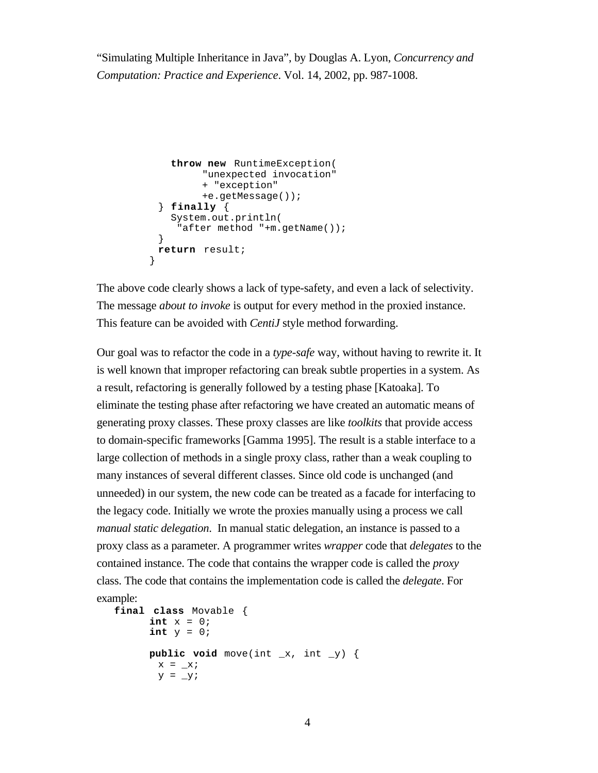```
throw new RuntimeException(
        "unexpected invocation"
        + "exception"
        +e.getMessage());
 } finally {
   System.out.println(
     "after method "+m.getName());
 }
 return result;
}
```
The above code clearly shows a lack of type-safety, and even a lack of selectivity. The message *about to invoke* is output for every method in the proxied instance. This feature can be avoided with *CentiJ* style method forwarding.

Our goal was to refactor the code in a *type-safe* way, without having to rewrite it. It is well known that improper refactoring can break subtle properties in a system. As a result, refactoring is generally followed by a testing phase [Katoaka]. To eliminate the testing phase after refactoring we have created an automatic means of generating proxy classes. These proxy classes are like *toolkits* that provide access to domain-specific frameworks [Gamma 1995]. The result is a stable interface to a large collection of methods in a single proxy class, rather than a weak coupling to many instances of several different classes. Since old code is unchanged (and unneeded) in our system, the new code can be treated as a facade for interfacing to the legacy code. Initially we wrote the proxies manually using a process we call *manual static delegation*. In manual static delegation, an instance is passed to a proxy class as a parameter. A programmer writes *wrapper* code that *delegates* to the contained instance. The code that contains the wrapper code is called the *proxy* class. The code that contains the implementation code is called the *delegate*. For example:

```
final class Movable {
     int x = 0;
     int y = 0;public void move(int _x, int _y) {
      x = x;y = y;
```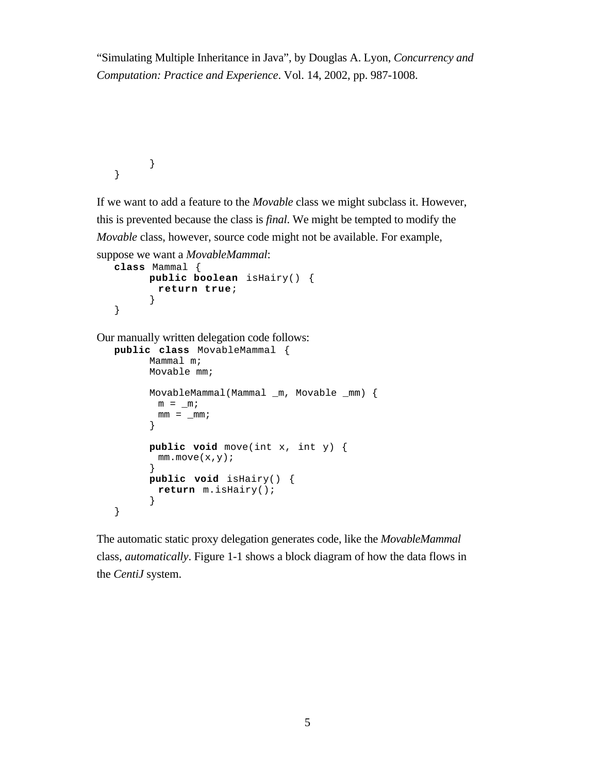```
}
}
```
}

If we want to add a feature to the *Movable* class we might subclass it. However, this is prevented because the class is *final*. We might be tempted to modify the *Movable* class, however, source code might not be available. For example,

```
suppose we want a MovableMammal:
   class Mammal {
         public boolean isHairy() {
          return true;
         }
```

```
Our manually written delegation code follows:
```

```
public class MovableMammal {
      Mammal m;
      Movable mm;
      MovableMammal(Mammal _m, Movable _mm) {
       m = m;mm = \text{mm};}
      public void move(int x, int y) {
       mm.move(x,y);}
      public void isHairy() {
       return m.isHairy();
      }
}
```
The automatic static proxy delegation generates code, like the *MovableMammal* class, *automatically*. Figure 1-1 shows a block diagram of how the data flows in the *CentiJ* system.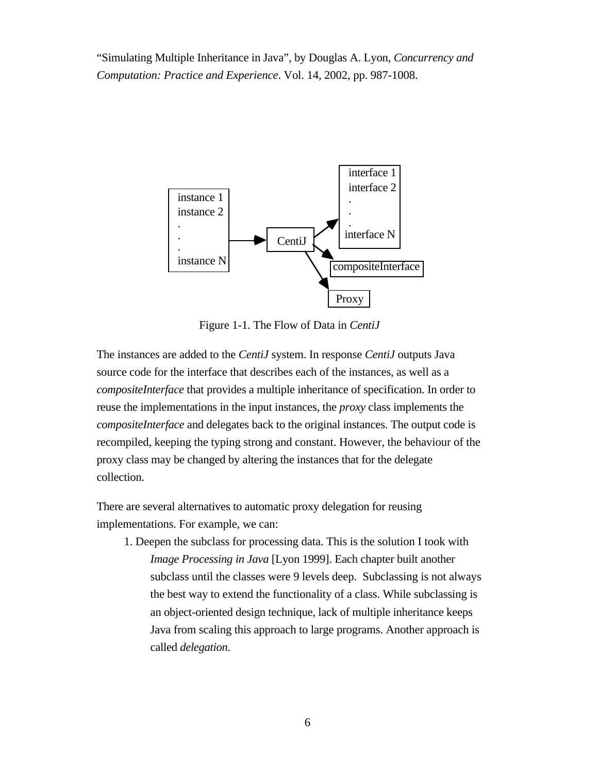

Figure 1-1. The Flow of Data in *CentiJ*

The instances are added to the *CentiJ* system. In response *CentiJ* outputs Java source code for the interface that describes each of the instances, as well as a *compositeInterface* that provides a multiple inheritance of specification. In order to reuse the implementations in the input instances, the *proxy* class implements the *compositeInterface* and delegates back to the original instances. The output code is recompiled, keeping the typing strong and constant. However, the behaviour of the proxy class may be changed by altering the instances that for the delegate collection.

There are several alternatives to automatic proxy delegation for reusing implementations. For example, we can:

1. Deepen the subclass for processing data. This is the solution I took with *Image Processing in Java* [Lyon 1999]. Each chapter built another subclass until the classes were 9 levels deep. Subclassing is not always the best way to extend the functionality of a class. While subclassing is an object-oriented design technique, lack of multiple inheritance keeps Java from scaling this approach to large programs. Another approach is called *delegation*.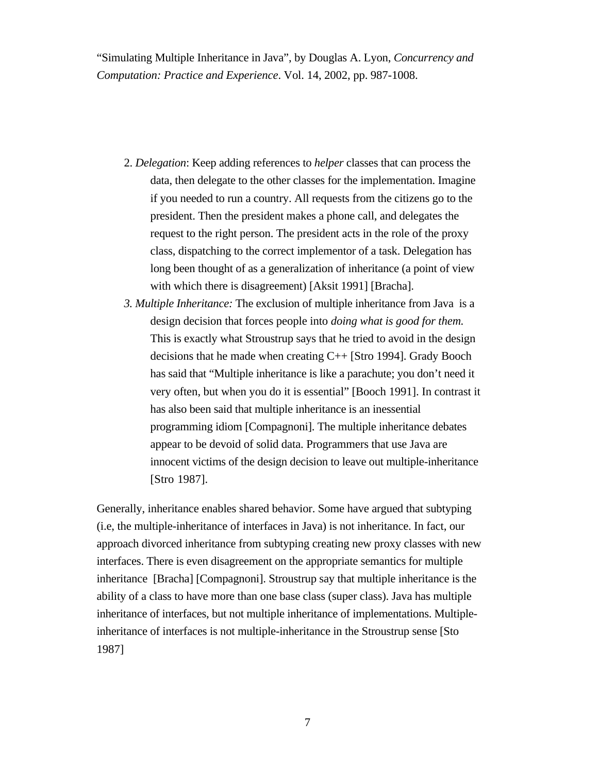- 2. *Delegation*: Keep adding references to *helper* classes that can process the data, then delegate to the other classes for the implementation. Imagine if you needed to run a country. All requests from the citizens go to the president. Then the president makes a phone call, and delegates the request to the right person. The president acts in the role of the proxy class, dispatching to the correct implementor of a task. Delegation has long been thought of as a generalization of inheritance (a point of view with which there is disagreement) [Aksit 1991] [Bracha].
- *3. Multiple Inheritance:* The exclusion of multiple inheritance from Java is a design decision that forces people into *doing what is good for them.* This is exactly what Stroustrup says that he tried to avoid in the design decisions that he made when creating C++ [Stro 1994]. Grady Booch has said that "Multiple inheritance is like a parachute; you don't need it very often, but when you do it is essential" [Booch 1991]. In contrast it has also been said that multiple inheritance is an inessential programming idiom [Compagnoni]. The multiple inheritance debates appear to be devoid of solid data. Programmers that use Java are innocent victims of the design decision to leave out multiple-inheritance [Stro 1987].

Generally, inheritance enables shared behavior. Some have argued that subtyping (i.e, the multiple-inheritance of interfaces in Java) is not inheritance. In fact, our approach divorced inheritance from subtyping creating new proxy classes with new interfaces. There is even disagreement on the appropriate semantics for multiple inheritance [Bracha] [Compagnoni]. Stroustrup say that multiple inheritance is the ability of a class to have more than one base class (super class). Java has multiple inheritance of interfaces, but not multiple inheritance of implementations. Multipleinheritance of interfaces is not multiple-inheritance in the Stroustrup sense [Sto 1987]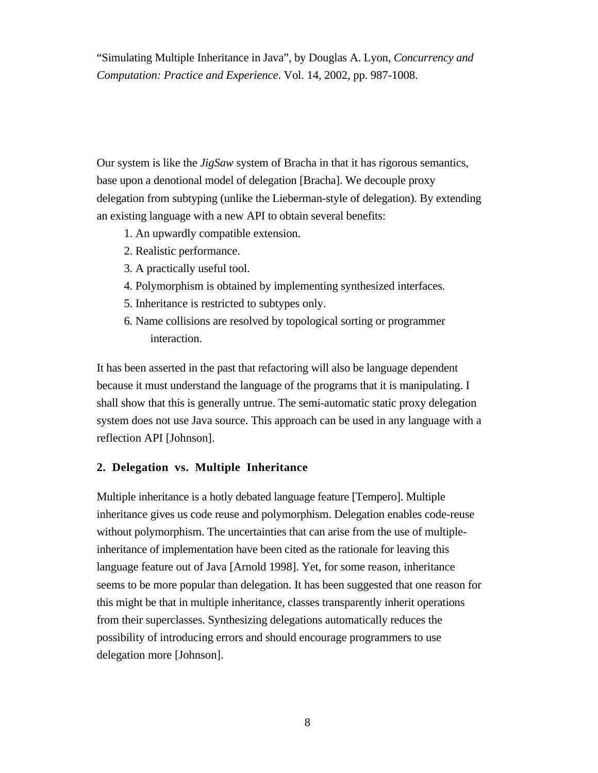Our system is like the *JigSaw* system of Bracha in that it has rigorous semantics, base upon a denotional model of delegation [Bracha]. We decouple proxy delegation from subtyping (unlike the Lieberman-style of delegation). By extending an existing language with a new API to obtain several benefits:

- 1. An upwardly compatible extension.
- 2. Realistic performance.
- 3. A practically useful tool.
- 4. Polymorphism is obtained by implementing synthesized interfaces.
- 5. Inheritance is restricted to subtypes only.
- 6. Name collisions are resolved by topological sorting or programmer interaction.

It has been asserted in the past that refactoring will also be language dependent because it must understand the language of the programs that it is manipulating. I shall show that this is generally untrue. The semi-automatic static proxy delegation system does not use Java source. This approach can be used in any language with a reflection API [Johnson].

#### **2. Delegation vs. Multiple Inheritance**

Multiple inheritance is a hotly debated language feature [Tempero]. Multiple inheritance gives us code reuse and polymorphism. Delegation enables code-reuse without polymorphism. The uncertainties that can arise from the use of multipleinheritance of implementation have been cited as the rationale for leaving this language feature out of Java [Arnold 1998]. Yet, for some reason, inheritance seems to be more popular than delegation. It has been suggested that one reason for this might be that in multiple inheritance, classes transparently inherit operations from their superclasses. Synthesizing delegations automatically reduces the possibility of introducing errors and should encourage programmers to use delegation more [Johnson].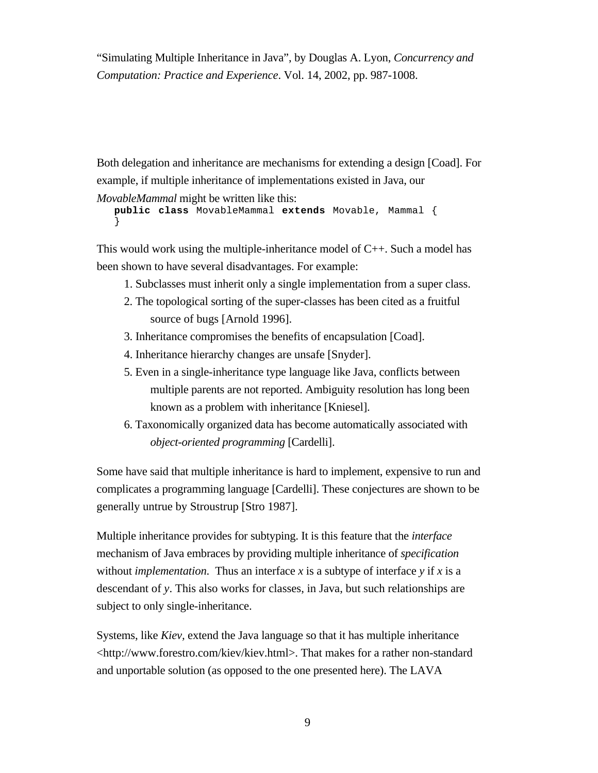Both delegation and inheritance are mechanisms for extending a design [Coad]. For example, if multiple inheritance of implementations existed in Java, our

*MovableMammal* might be written like this:

**public class** MovableMammal **extends** Movable, Mammal { }

This would work using the multiple-inheritance model of C++. Such a model has been shown to have several disadvantages. For example:

- 1. Subclasses must inherit only a single implementation from a super class.
- 2. The topological sorting of the super-classes has been cited as a fruitful source of bugs [Arnold 1996].
- 3. Inheritance compromises the benefits of encapsulation [Coad].
- 4. Inheritance hierarchy changes are unsafe [Snyder].
- 5. Even in a single-inheritance type language like Java, conflicts between multiple parents are not reported. Ambiguity resolution has long been known as a problem with inheritance [Kniesel].
- 6. Taxonomically organized data has become automatically associated with *object-oriented programming* [Cardelli].

Some have said that multiple inheritance is hard to implement, expensive to run and complicates a programming language [Cardelli]. These conjectures are shown to be generally untrue by Stroustrup [Stro 1987].

Multiple inheritance provides for subtyping. It is this feature that the *interface* mechanism of Java embraces by providing multiple inheritance of *specification* without *implementation*. Thus an interface *x* is a subtype of interface *y* if *x* is a descendant of *y*. This also works for classes, in Java, but such relationships are subject to only single-inheritance.

Systems, like *Kiev,* extend the Java language so that it has multiple inheritance <http://www.forestro.com/kiev/kiev.html>. That makes for a rather non-standard and unportable solution (as opposed to the one presented here). The LAVA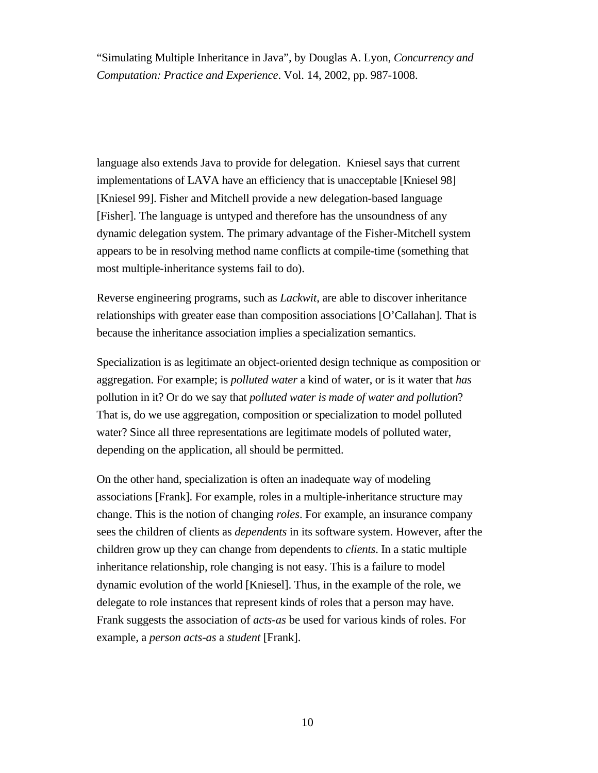language also extends Java to provide for delegation. Kniesel says that current implementations of LAVA have an efficiency that is unacceptable [Kniesel 98] [Kniesel 99]. Fisher and Mitchell provide a new delegation-based language [Fisher]. The language is untyped and therefore has the unsoundness of any dynamic delegation system. The primary advantage of the Fisher-Mitchell system appears to be in resolving method name conflicts at compile-time (something that most multiple-inheritance systems fail to do).

Reverse engineering programs, such as *Lackwit*, are able to discover inheritance relationships with greater ease than composition associations [O'Callahan]. That is because the inheritance association implies a specialization semantics.

Specialization is as legitimate an object-oriented design technique as composition or aggregation. For example; is *polluted water* a kind of water, or is it water that *has* pollution in it? Or do we say that *polluted water is made of water and pollution*? That is, do we use aggregation, composition or specialization to model polluted water? Since all three representations are legitimate models of polluted water, depending on the application, all should be permitted.

On the other hand, specialization is often an inadequate way of modeling associations [Frank]. For example, roles in a multiple-inheritance structure may change. This is the notion of changing *roles*. For example, an insurance company sees the children of clients as *dependents* in its software system. However, after the children grow up they can change from dependents to *clients*. In a static multiple inheritance relationship, role changing is not easy. This is a failure to model dynamic evolution of the world [Kniesel]. Thus, in the example of the role, we delegate to role instances that represent kinds of roles that a person may have. Frank suggests the association of *acts-as* be used for various kinds of roles. For example, a *person acts-as* a *student* [Frank].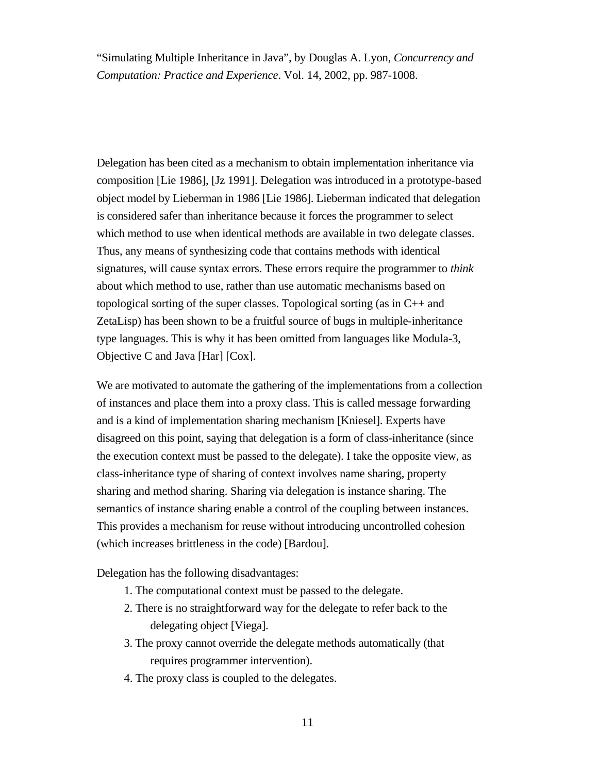Delegation has been cited as a mechanism to obtain implementation inheritance via composition [Lie 1986], [Jz 1991]. Delegation was introduced in a prototype-based object model by Lieberman in 1986 [Lie 1986]. Lieberman indicated that delegation is considered safer than inheritance because it forces the programmer to select which method to use when identical methods are available in two delegate classes. Thus, any means of synthesizing code that contains methods with identical signatures, will cause syntax errors. These errors require the programmer to *think* about which method to use, rather than use automatic mechanisms based on topological sorting of the super classes. Topological sorting (as in C++ and ZetaLisp) has been shown to be a fruitful source of bugs in multiple-inheritance type languages. This is why it has been omitted from languages like Modula-3, Objective C and Java [Har] [Cox].

We are motivated to automate the gathering of the implementations from a collection of instances and place them into a proxy class. This is called message forwarding and is a kind of implementation sharing mechanism [Kniesel]. Experts have disagreed on this point, saying that delegation is a form of class-inheritance (since the execution context must be passed to the delegate). I take the opposite view, as class-inheritance type of sharing of context involves name sharing, property sharing and method sharing. Sharing via delegation is instance sharing. The semantics of instance sharing enable a control of the coupling between instances. This provides a mechanism for reuse without introducing uncontrolled cohesion (which increases brittleness in the code) [Bardou].

Delegation has the following disadvantages:

- 1. The computational context must be passed to the delegate.
- 2. There is no straightforward way for the delegate to refer back to the delegating object [Viega].
- 3. The proxy cannot override the delegate methods automatically (that requires programmer intervention).
- 4. The proxy class is coupled to the delegates.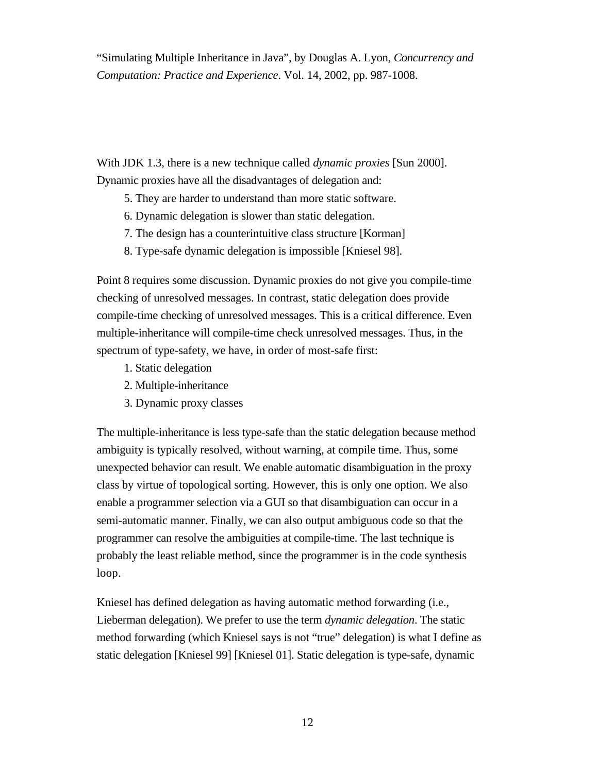With JDK 1.3, there is a new technique called *dynamic proxies* [Sun 2000]. Dynamic proxies have all the disadvantages of delegation and:

- 5. They are harder to understand than more static software.
- 6. Dynamic delegation is slower than static delegation.
- 7. The design has a counterintuitive class structure [Korman]
- 8. Type-safe dynamic delegation is impossible [Kniesel 98].

Point 8 requires some discussion. Dynamic proxies do not give you compile-time checking of unresolved messages. In contrast, static delegation does provide compile-time checking of unresolved messages. This is a critical difference. Even multiple-inheritance will compile-time check unresolved messages. Thus, in the spectrum of type-safety, we have, in order of most-safe first:

- 1. Static delegation
- 2. Multiple-inheritance
- 3. Dynamic proxy classes

The multiple-inheritance is less type-safe than the static delegation because method ambiguity is typically resolved, without warning, at compile time. Thus, some unexpected behavior can result. We enable automatic disambiguation in the proxy class by virtue of topological sorting. However, this is only one option. We also enable a programmer selection via a GUI so that disambiguation can occur in a semi-automatic manner. Finally, we can also output ambiguous code so that the programmer can resolve the ambiguities at compile-time. The last technique is probably the least reliable method, since the programmer is in the code synthesis loop.

Kniesel has defined delegation as having automatic method forwarding (i.e., Lieberman delegation). We prefer to use the term *dynamic delegation*. The static method forwarding (which Kniesel says is not "true" delegation) is what I define as static delegation [Kniesel 99] [Kniesel 01]. Static delegation is type-safe, dynamic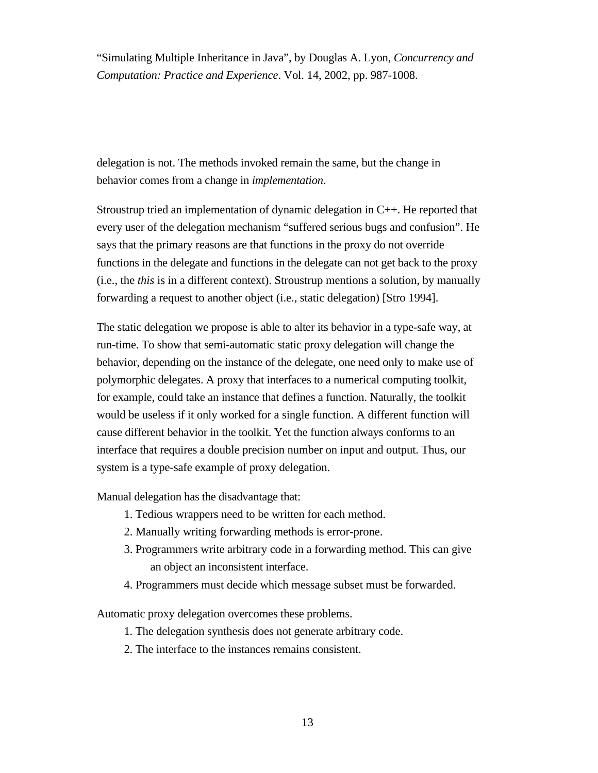delegation is not. The methods invoked remain the same, but the change in behavior comes from a change in *implementation*.

Stroustrup tried an implementation of dynamic delegation in C++. He reported that every user of the delegation mechanism "suffered serious bugs and confusion". He says that the primary reasons are that functions in the proxy do not override functions in the delegate and functions in the delegate can not get back to the proxy (i.e., the *this* is in a different context). Stroustrup mentions a solution, by manually forwarding a request to another object (i.e., static delegation) [Stro 1994].

The static delegation we propose is able to alter its behavior in a type-safe way, at run-time. To show that semi-automatic static proxy delegation will change the behavior, depending on the instance of the delegate, one need only to make use of polymorphic delegates. A proxy that interfaces to a numerical computing toolkit, for example, could take an instance that defines a function. Naturally, the toolkit would be useless if it only worked for a single function. A different function will cause different behavior in the toolkit. Yet the function always conforms to an interface that requires a double precision number on input and output. Thus, our system is a type-safe example of proxy delegation.

Manual delegation has the disadvantage that:

- 1. Tedious wrappers need to be written for each method.
- 2. Manually writing forwarding methods is error-prone.
- 3. Programmers write arbitrary code in a forwarding method. This can give an object an inconsistent interface.
- 4. Programmers must decide which message subset must be forwarded.

Automatic proxy delegation overcomes these problems.

- 1. The delegation synthesis does not generate arbitrary code.
- 2. The interface to the instances remains consistent.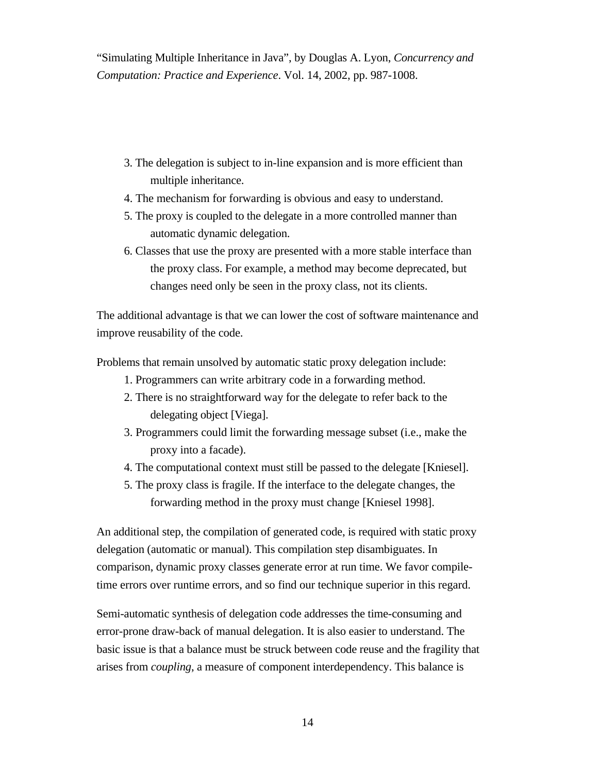- 3. The delegation is subject to in-line expansion and is more efficient than multiple inheritance.
- 4. The mechanism for forwarding is obvious and easy to understand.
- 5. The proxy is coupled to the delegate in a more controlled manner than automatic dynamic delegation.
- 6. Classes that use the proxy are presented with a more stable interface than the proxy class. For example, a method may become deprecated, but changes need only be seen in the proxy class, not its clients.

The additional advantage is that we can lower the cost of software maintenance and improve reusability of the code.

Problems that remain unsolved by automatic static proxy delegation include:

- 1. Programmers can write arbitrary code in a forwarding method.
- 2. There is no straightforward way for the delegate to refer back to the delegating object [Viega].
- 3. Programmers could limit the forwarding message subset (i.e., make the proxy into a facade).
- 4. The computational context must still be passed to the delegate [Kniesel].
- 5. The proxy class is fragile. If the interface to the delegate changes, the forwarding method in the proxy must change [Kniesel 1998].

An additional step, the compilation of generated code, is required with static proxy delegation (automatic or manual). This compilation step disambiguates. In comparison, dynamic proxy classes generate error at run time. We favor compiletime errors over runtime errors, and so find our technique superior in this regard.

Semi-automatic synthesis of delegation code addresses the time-consuming and error-prone draw-back of manual delegation. It is also easier to understand. The basic issue is that a balance must be struck between code reuse and the fragility that arises from *coupling*, a measure of component interdependency. This balance is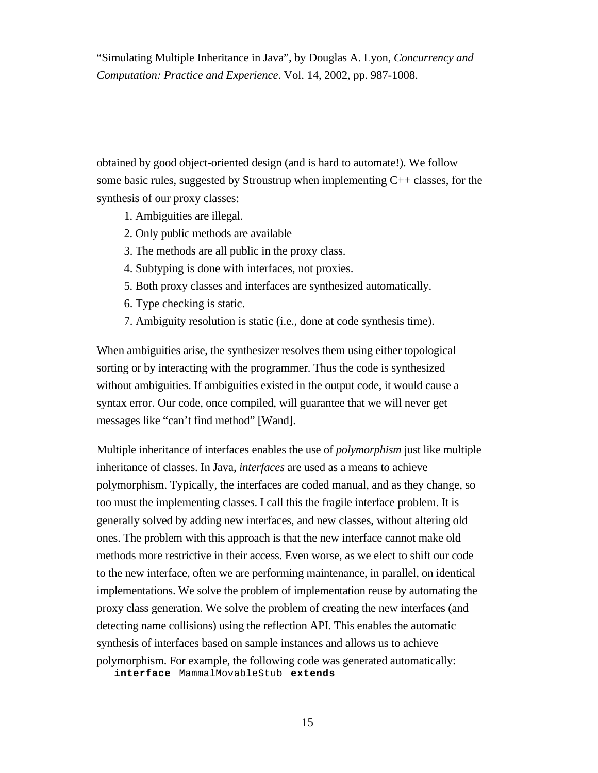obtained by good object-oriented design (and is hard to automate!). We follow some basic rules, suggested by Stroustrup when implementing  $C++$  classes, for the synthesis of our proxy classes:

- 1. Ambiguities are illegal.
- 2. Only public methods are available
- 3. The methods are all public in the proxy class.
- 4. Subtyping is done with interfaces, not proxies.
- 5. Both proxy classes and interfaces are synthesized automatically.
- 6. Type checking is static.
- 7. Ambiguity resolution is static (i.e., done at code synthesis time).

When ambiguities arise, the synthesizer resolves them using either topological sorting or by interacting with the programmer. Thus the code is synthesized without ambiguities. If ambiguities existed in the output code, it would cause a syntax error. Our code, once compiled, will guarantee that we will never get messages like "can't find method" [Wand].

Multiple inheritance of interfaces enables the use of *polymorphism* just like multiple inheritance of classes. In Java, *interfaces* are used as a means to achieve polymorphism. Typically, the interfaces are coded manual, and as they change, so too must the implementing classes. I call this the fragile interface problem. It is generally solved by adding new interfaces, and new classes, without altering old ones. The problem with this approach is that the new interface cannot make old methods more restrictive in their access. Even worse, as we elect to shift our code to the new interface, often we are performing maintenance, in parallel, on identical implementations. We solve the problem of implementation reuse by automating the proxy class generation. We solve the problem of creating the new interfaces (and detecting name collisions) using the reflection API. This enables the automatic synthesis of interfaces based on sample instances and allows us to achieve polymorphism. For example, the following code was generated automatically: **interface** MammalMovableStub **extends**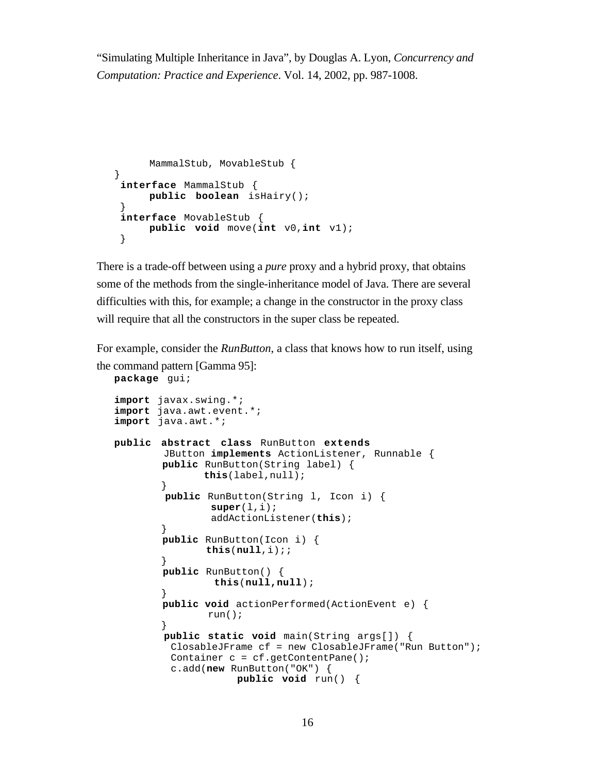```
MammalStub, MovableStub {
}
interface MammalStub {
     public boolean isHairy();
 }
interface MovableStub {
     public void move(int v0,int v1);
 }
```
There is a trade-off between using a *pure* proxy and a hybrid proxy, that obtains some of the methods from the single-inheritance model of Java. There are several difficulties with this, for example; a change in the constructor in the proxy class will require that all the constructors in the super class be repeated.

```
For example, consider the RunButton, a class that knows how to run itself, using
the command pattern [Gamma 95]:
```

```
package gui;
import javax.swing.*;
import java.awt.event.*;
import java.awt.*;
public abstract class RunButton extends
         JButton implements ActionListener, Runnable {
        public RunButton(String label) {
               this(label,null);
 }
         public RunButton(String l, Icon i) {
               super(1,i); addActionListener(this);
        }
        public RunButton(Icon i) {
                this(null,i);;
 }
        public RunButton() {
                 this(null,null);
 }
        public void actionPerformed(ActionEvent e) {
                run();
        }
         public static void main(String args[]) {
          ClosableJFrame cf = new ClosableJFrame("Run Button");
          Container c = cf.getContentPane();
          c.add(new RunButton("OK") {
                     public void run() {
```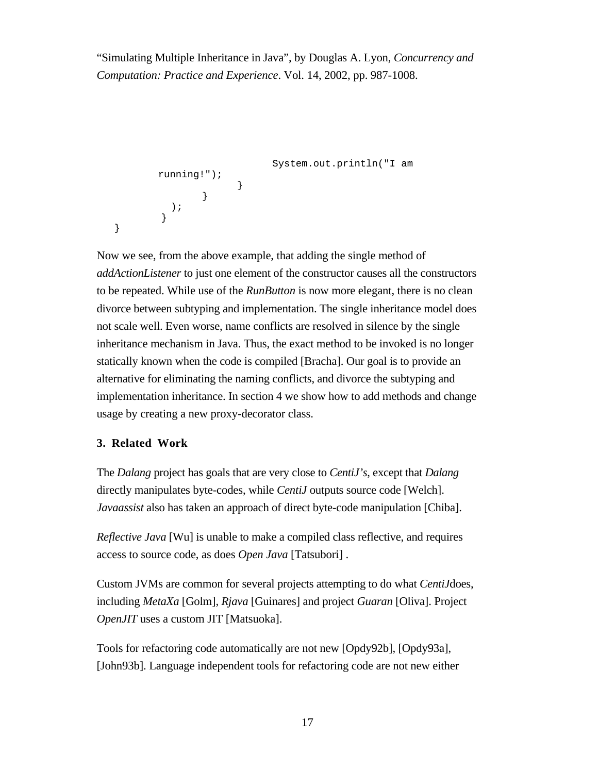```
 System.out.println("I am
     running!");
 }
          }
       );
 }
}
```
Now we see, from the above example, that adding the single method of *addActionListener* to just one element of the constructor causes all the constructors to be repeated. While use of the *RunButton* is now more elegant, there is no clean divorce between subtyping and implementation. The single inheritance model does not scale well. Even worse, name conflicts are resolved in silence by the single inheritance mechanism in Java. Thus, the exact method to be invoked is no longer statically known when the code is compiled [Bracha]. Our goal is to provide an alternative for eliminating the naming conflicts, and divorce the subtyping and implementation inheritance. In section 4 we show how to add methods and change usage by creating a new proxy-decorator class.

## **3. Related Work**

The *Dalang* project has goals that are very close to *CentiJ's*, except that *Dalang* directly manipulates byte-codes, while *CentiJ* outputs source code [Welch]. *Javaassist* also has taken an approach of direct byte-code manipulation [Chiba].

*Reflective Java* [Wu] is unable to make a compiled class reflective, and requires access to source code, as does *Open Java* [Tatsubori] .

Custom JVMs are common for several projects attempting to do what *CentiJ*does, including *MetaXa* [Golm], *Rjava* [Guinares] and project *Guaran* [Oliva]. Project *OpenJIT* uses a custom JIT [Matsuoka].

Tools for refactoring code automatically are not new [Opdy92b], [Opdy93a], [John93b]. Language independent tools for refactoring code are not new either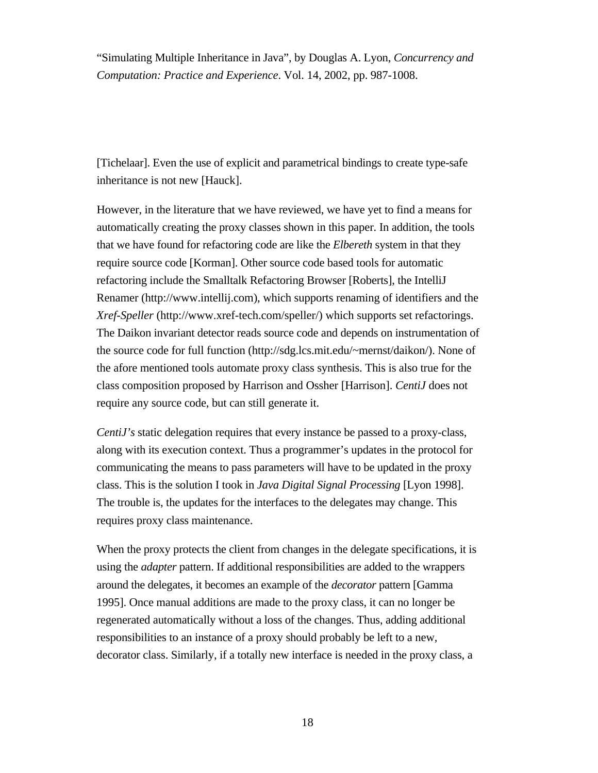[Tichelaar]. Even the use of explicit and parametrical bindings to create type-safe inheritance is not new [Hauck].

However, in the literature that we have reviewed, we have yet to find a means for automatically creating the proxy classes shown in this paper. In addition, the tools that we have found for refactoring code are like the *Elbereth* system in that they require source code [Korman]. Other source code based tools for automatic refactoring include the Smalltalk Refactoring Browser [Roberts], the IntelliJ Renamer (http://www.intellij.com), which supports renaming of identifiers and the *Xref-Speller* (http://www.xref-tech.com/speller/) which supports set refactorings. The Daikon invariant detector reads source code and depends on instrumentation of the source code for full function (http://sdg.lcs.mit.edu/~mernst/daikon/). None of the afore mentioned tools automate proxy class synthesis. This is also true for the class composition proposed by Harrison and Ossher [Harrison]. *CentiJ* does not require any source code, but can still generate it.

*CentiJ's* static delegation requires that every instance be passed to a proxy-class, along with its execution context. Thus a programmer's updates in the protocol for communicating the means to pass parameters will have to be updated in the proxy class. This is the solution I took in *Java Digital Signal Processing* [Lyon 1998]. The trouble is, the updates for the interfaces to the delegates may change. This requires proxy class maintenance.

When the proxy protects the client from changes in the delegate specifications, it is using the *adapter* pattern. If additional responsibilities are added to the wrappers around the delegates, it becomes an example of the *decorator* pattern [Gamma 1995]. Once manual additions are made to the proxy class, it can no longer be regenerated automatically without a loss of the changes. Thus, adding additional responsibilities to an instance of a proxy should probably be left to a new, decorator class. Similarly, if a totally new interface is needed in the proxy class, a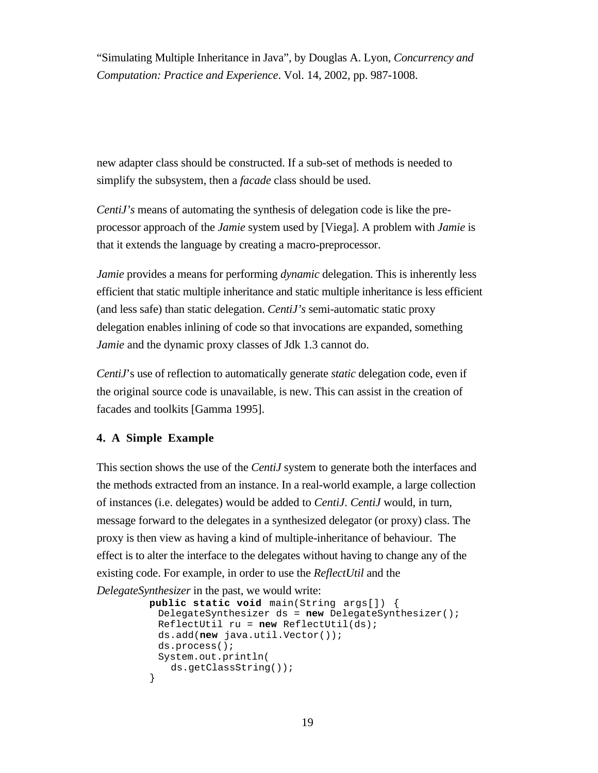new adapter class should be constructed. If a sub-set of methods is needed to simplify the subsystem, then a *facade* class should be used.

*CentiJ's* means of automating the synthesis of delegation code is like the preprocessor approach of the *Jamie* system used by [Viega]. A problem with *Jamie* is that it extends the language by creating a macro-preprocessor.

*Jamie* provides a means for performing *dynamic* delegation. This is inherently less efficient that static multiple inheritance and static multiple inheritance is less efficient (and less safe) than static delegation. *CentiJ's* semi-automatic static proxy delegation enables inlining of code so that invocations are expanded, something *Jamie* and the dynamic proxy classes of Jdk 1.3 cannot do.

*CentiJ*'s use of reflection to automatically generate *static* delegation code, even if the original source code is unavailable, is new. This can assist in the creation of facades and toolkits [Gamma 1995].

# **4. A Simple Example**

This section shows the use of the *CentiJ* system to generate both the interfaces and the methods extracted from an instance. In a real-world example, a large collection of instances (i.e. delegates) would be added to *CentiJ*. *CentiJ* would, in turn, message forward to the delegates in a synthesized delegator (or proxy) class. The proxy is then view as having a kind of multiple-inheritance of behaviour. The effect is to alter the interface to the delegates without having to change any of the existing code. For example, in order to use the *ReflectUtil* and the

*DelegateSynthesizer* in the past, we would write:

```
public static void main(String args[]) {
 DelegateSynthesizer ds = new DelegateSynthesizer();
 ReflectUtil ru = new ReflectUtil(ds);
 ds.add(new java.util.Vector());
 ds.process();
 System.out.println(
   ds.getClassString());
}
```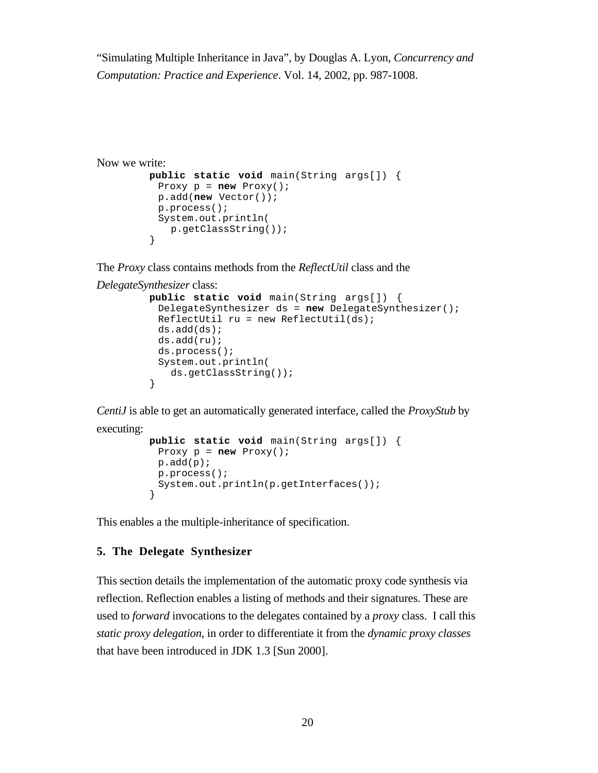```
Now we write:
         public static void main(String args[]) {
          Proxy p = new Proxy();
          p.add(new Vector());
          p.process();
          System.out.println(
            p.getClassString());
         }
```
The *Proxy* class contains methods from the *ReflectUtil* class and the

*DelegateSynthesizer* class:

```
public static void main(String args[]) {
 DelegateSynthesizer ds = new DelegateSynthesizer();
 ReflectUtil ru = new ReflectUtil(ds);
 ds.add(ds);
 ds.add(ru);
 ds.process();
 System.out.println(
   ds.getClassString());
}
```
*CentiJ* is able to get an automatically generated interface, called the *ProxyStub* by executing:

```
public static void main(String args[]) {
 Proxy p = new Proxy();
 p.add(p);p.process();
 System.out.println(p.getInterfaces());
}
```
This enables a the multiple-inheritance of specification.

#### **5. The Delegate Synthesizer**

This section details the implementation of the automatic proxy code synthesis via reflection. Reflection enables a listing of methods and their signatures. These are used to *forward* invocations to the delegates contained by a *proxy* class. I call this *static proxy delegation*, in order to differentiate it from the *dynamic proxy classes* that have been introduced in JDK 1.3 [Sun 2000].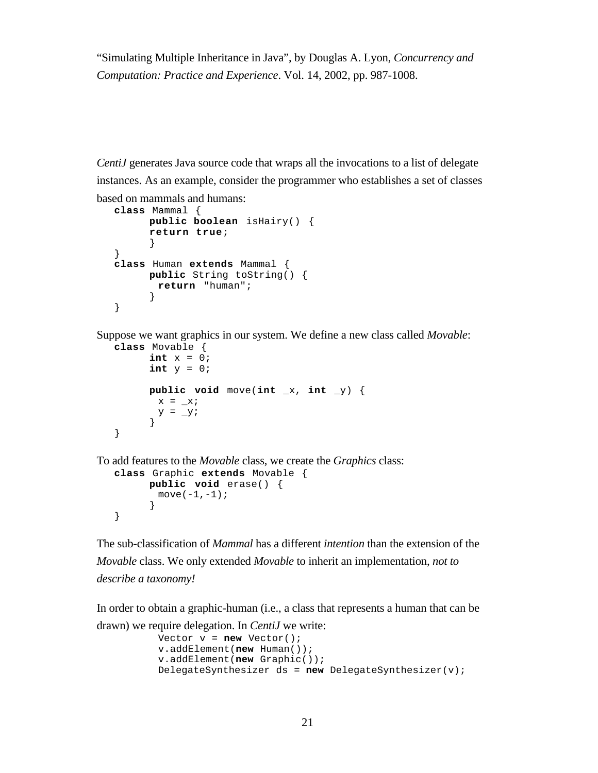*CentiJ* generates Java source code that wraps all the invocations to a list of delegate instances. As an example, consider the programmer who establishes a set of classes based on mammals and humans:

```
class Mammal {
     public boolean isHairy() {
     return true;
      }
}
class Human extends Mammal {
     public String toString() {
       return "human";
      }
}
```
Suppose we want graphics in our system. We define a new class called *Movable*:

```
class Movable {
         int x = 0;
         int y = 0;public void move(int _x, int _y) {
           x = x;y = y;
         }
   }
To add features to the Movable class, we create the Graphics class:
```

```
class Graphic extends Movable {
     public void erase() {
       move(-1,-1);}
}
```
The sub-classification of *Mammal* has a different *intention* than the extension of the *Movable* class. We only extended *Movable* to inherit an implementation, *not to describe a taxonomy!*

In order to obtain a graphic-human (i.e., a class that represents a human that can be drawn) we require delegation. In *CentiJ* we write:

```
Vector v = new Vector();
v.addElement(new Human());
v.addElement(new Graphic());
DelegateSynthesizer ds = new DelegateSynthesizer(v);
```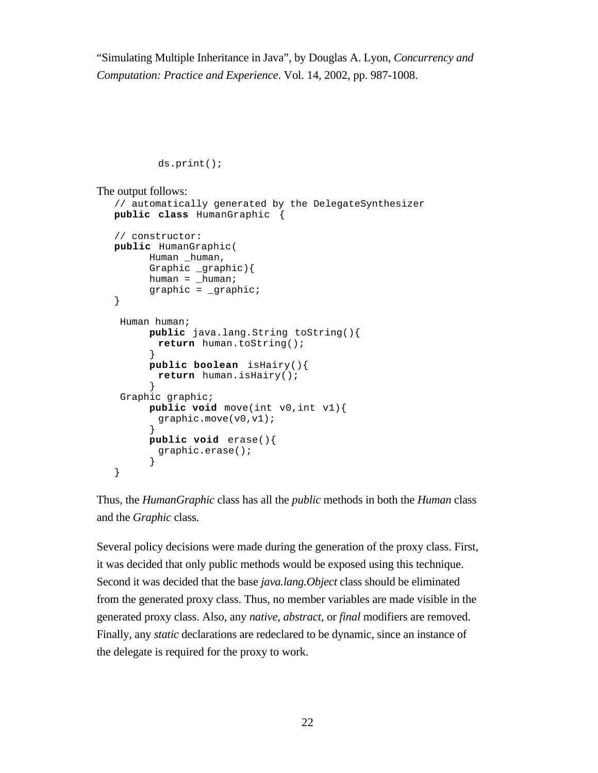ds.print();

```
The output follows:
   // automatically generated by the DelegateSynthesizer
   public class HumanGraphic {
   // constructor:
   public HumanGraphic(
        Human _human,
        Graphic _graphic){
        human = _human;
         graphic = _graphic;
   }
     Human human;
        public java.lang.String toString(){
          return human.toString();
         }
        public boolean isHairy(){
          return human.isHairy();
         }
     Graphic graphic;
        public void move(int v0,int v1){
          graphic.move(v0,v1);
         }
         public void erase(){
          graphic.erase();
         }
   }
```
Thus, the *HumanGraphic* class has all the *public* methods in both the *Human* class and the *Graphic* class.

Several policy decisions were made during the generation of the proxy class. First, it was decided that only public methods would be exposed using this technique. Second it was decided that the base *java.lang.Object* class should be eliminated from the generated proxy class. Thus, no member variables are made visible in the generated proxy class. Also, any *native, abstract,* or *final* modifiers are removed. Finally, any *static* declarations are redeclared to be dynamic, since an instance of the delegate is required for the proxy to work.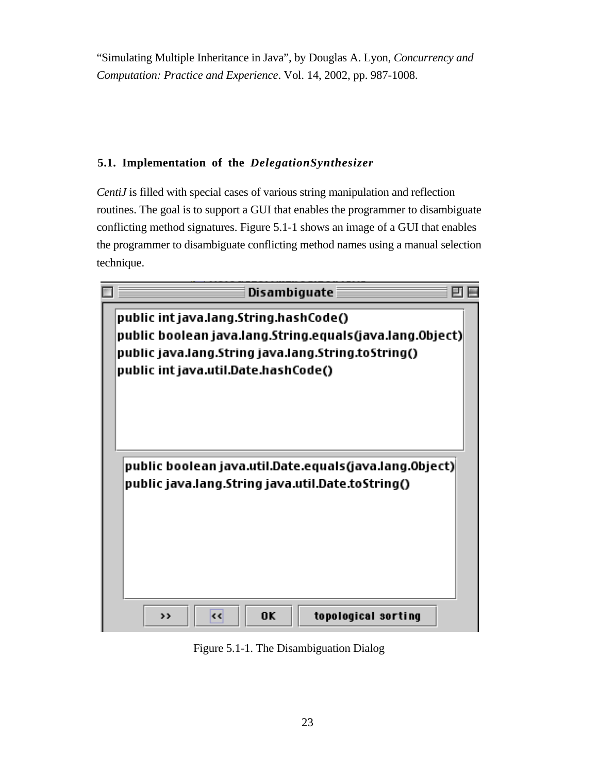# **5.1. Implementation of the** *DelegationSynthesizer*

*CentiJ* is filled with special cases of various string manipulation and reflection routines. The goal is to support a GUI that enables the programmer to disambiguate conflicting method signatures. Figure 5.1-1 shows an image of a GUI that enables the programmer to disambiguate conflicting method names using a manual selection technique.



Figure 5.1-1. The Disambiguation Dialog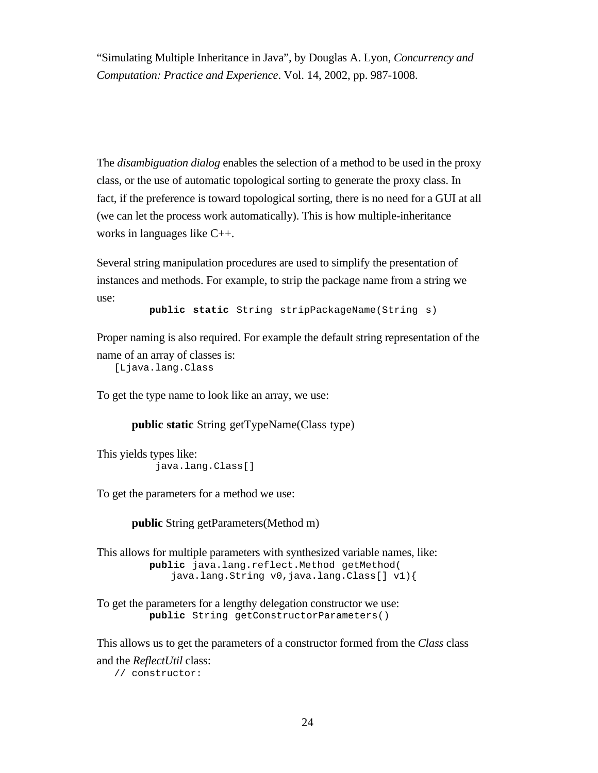The *disambiguation dialog* enables the selection of a method to be used in the proxy class, or the use of automatic topological sorting to generate the proxy class. In fact, if the preference is toward topological sorting, there is no need for a GUI at all (we can let the process work automatically). This is how multiple-inheritance works in languages like C++.

Several string manipulation procedures are used to simplify the presentation of instances and methods. For example, to strip the package name from a string we use:

**public static** String stripPackageName(String s)

Proper naming is also required. For example the default string representation of the name of an array of classes is:

[Ljava.lang.Class

To get the type name to look like an array, we use:

**public static** String getTypeName(Class type)

This yields types like: java.lang.Class[]

To get the parameters for a method we use:

**public** String getParameters(Method m)

This allows for multiple parameters with synthesized variable names, like: **public** java.lang.reflect.Method getMethod( java.lang.String v0,java.lang.Class[] v1){

To get the parameters for a lengthy delegation constructor we use: **public** String getConstructorParameters()

This allows us to get the parameters of a constructor formed from the *Class* class and the *ReflectUtil* class: // constructor: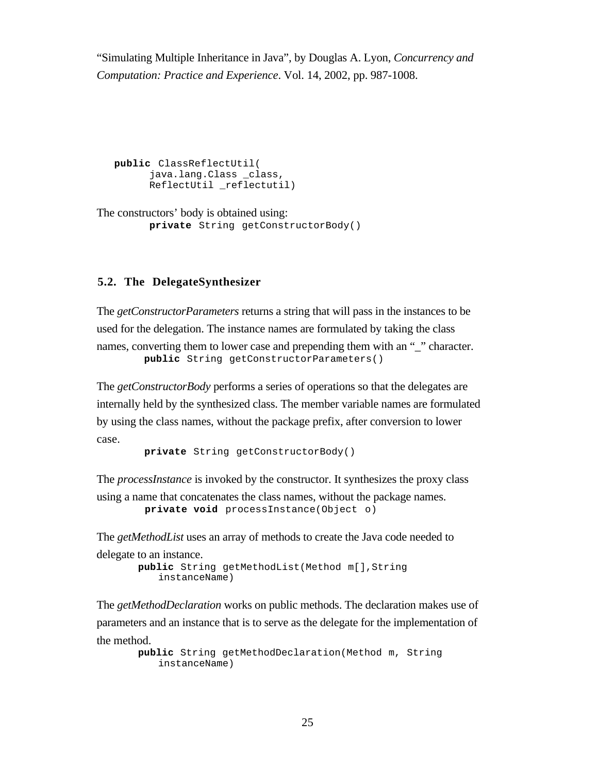**public** ClassReflectUtil( java.lang.Class \_class, ReflectUtil \_reflectutil)

The constructors' body is obtained using: **private** String getConstructorBody()

## **5.2. The DelegateSynthesizer**

The *getConstructorParameters* returns a string that will pass in the instances to be used for the delegation. The instance names are formulated by taking the class names, converting them to lower case and prepending them with an "<sup>1</sup>" character. **public** String getConstructorParameters()

The *getConstructorBody* performs a series of operations so that the delegates are internally held by the synthesized class. The member variable names are formulated by using the class names, without the package prefix, after conversion to lower case.

**private** String getConstructorBody()

The *processInstance* is invoked by the constructor. It synthesizes the proxy class using a name that concatenates the class names, without the package names. **private void** processInstance(Object o)

The *getMethodList* uses an array of methods to create the Java code needed to delegate to an instance.

> **public** String getMethodList(Method m[],String instanceName)

The *getMethodDeclaration* works on public methods. The declaration makes use of parameters and an instance that is to serve as the delegate for the implementation of the method.

> **public** String getMethodDeclaration(Method m, String instanceName)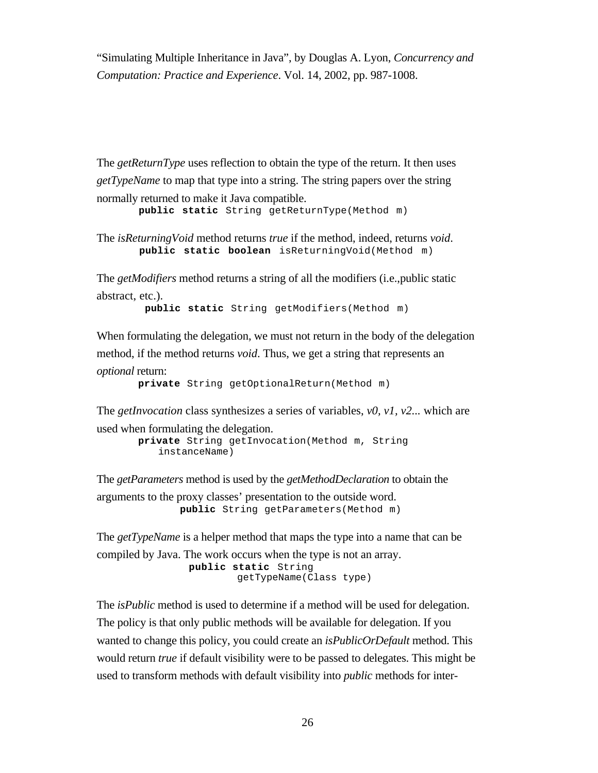The *getReturnType* uses reflection to obtain the type of the return. It then uses *getTypeName* to map that type into a string. The string papers over the string normally returned to make it Java compatible.

**public static** String getReturnType(Method m)

The *isReturningVoid* method returns *true* if the method, indeed, returns *void*.**public static boolean** isReturningVoid(Method m)

The *getModifiers* method returns a string of all the modifiers (i.e.,public static abstract, etc.).

**public static** String getModifiers(Method m)

When formulating the delegation, we must not return in the body of the delegation method, if the method returns *void*. Thus, we get a string that represents an *optional* return:

**private** String getOptionalReturn(Method m)

The *getInvocation* class synthesizes a series of variables, *v0, v1, v2...* which are used when formulating the delegation.

```
 private String getInvocation(Method m, String
   instanceName)
```
The *getParameters* method is used by the *getMethodDeclaration* to obtain the arguments to the proxy classes' presentation to the outside word. **public** String getParameters(Method m)

The *getTypeName* is a helper method that maps the type into a name that can be compiled by Java. The work occurs when the type is not an array. **public static** String getTypeName(Class type)

The *isPublic* method is used to determine if a method will be used for delegation. The policy is that only public methods will be available for delegation. If you wanted to change this policy, you could create an *isPublicOrDefault* method. This would return *true* if default visibility were to be passed to delegates. This might be used to transform methods with default visibility into *public* methods for inter-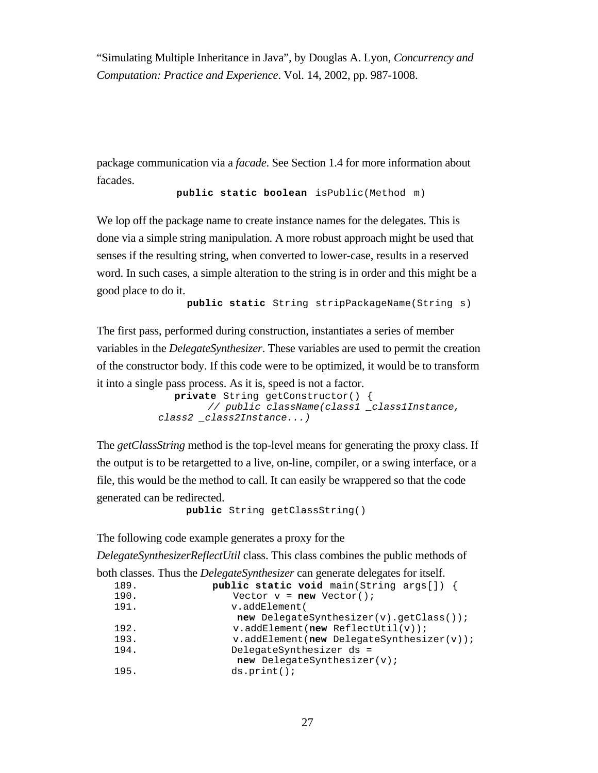package communication via a *facade*. See Section 1.4 for more information about facades.

**public static boolean** isPublic(Method m)

We lop off the package name to create instance names for the delegates. This is done via a simple string manipulation. A more robust approach might be used that senses if the resulting string, when converted to lower-case, results in a reserved word. In such cases, a simple alteration to the string is in order and this might be a good place to do it.

**public static** String stripPackageName(String s)

The first pass, performed during construction, instantiates a series of member variables in the *DelegateSynthesizer*. These variables are used to permit the creation of the constructor body. If this code were to be optimized, it would be to transform it into a single pass process. As it is, speed is not a factor.

```
 private String getConstructor() {
         // public className(class1 _class1Instance,
class2 _class2Instance...)
```
The *getClassString* method is the top-level means for generating the proxy class. If the output is to be retargetted to a live, on-line, compiler, or a swing interface, or a file, this would be the method to call. It can easily be wrappered so that the code generated can be redirected.

**public** String getClassString()

The following code example generates a proxy for the

*DelegateSynthesizerReflectUtil* class. This class combines the public methods of both classes. Thus the *DelegateSynthesizer* can generate delegates for itself.

| 189. | public static void main(String args[]) {        |
|------|-------------------------------------------------|
| 190. | Vector $v = new Vector()$ ;                     |
| 191. | v.addElement(                                   |
|      | new DelegateSynthesizer(v).getClass());         |
| 192. | v.addElement(new ReflectUtil(v));               |
| 193. | $v.addElement(\nnew Deleqatesynthesisizer(v));$ |
| 194. | DelegateSynthesizer ds =                        |
|      | $new$ DelegateSynthesizer(v);                   |
| 195. | ds.print()                                      |
|      |                                                 |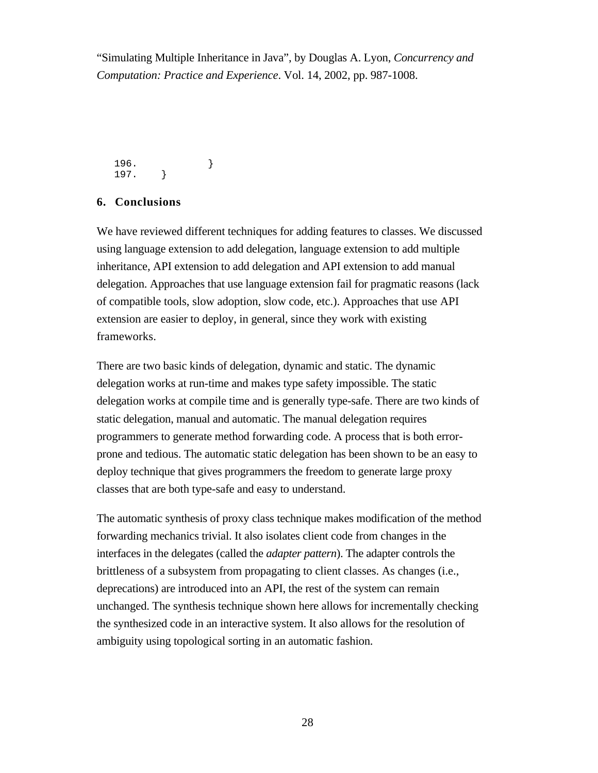196. } 197. }

## **6. Conclusions**

We have reviewed different techniques for adding features to classes. We discussed using language extension to add delegation, language extension to add multiple inheritance, API extension to add delegation and API extension to add manual delegation. Approaches that use language extension fail for pragmatic reasons (lack of compatible tools, slow adoption, slow code, etc.). Approaches that use API extension are easier to deploy, in general, since they work with existing frameworks.

There are two basic kinds of delegation, dynamic and static. The dynamic delegation works at run-time and makes type safety impossible. The static delegation works at compile time and is generally type-safe. There are two kinds of static delegation, manual and automatic. The manual delegation requires programmers to generate method forwarding code. A process that is both errorprone and tedious. The automatic static delegation has been shown to be an easy to deploy technique that gives programmers the freedom to generate large proxy classes that are both type-safe and easy to understand.

The automatic synthesis of proxy class technique makes modification of the method forwarding mechanics trivial. It also isolates client code from changes in the interfaces in the delegates (called the *adapter pattern*). The adapter controls the brittleness of a subsystem from propagating to client classes. As changes (i.e., deprecations) are introduced into an API, the rest of the system can remain unchanged. The synthesis technique shown here allows for incrementally checking the synthesized code in an interactive system. It also allows for the resolution of ambiguity using topological sorting in an automatic fashion.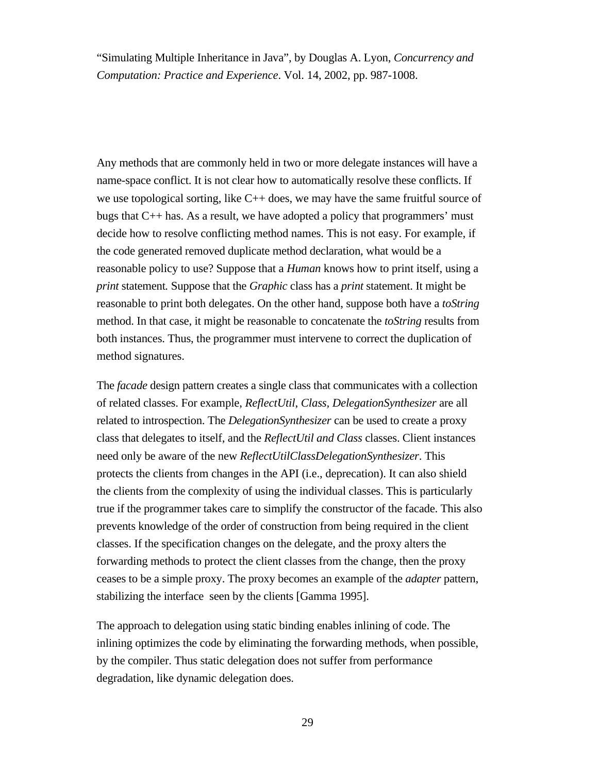Any methods that are commonly held in two or more delegate instances will have a name-space conflict. It is not clear how to automatically resolve these conflicts. If we use topological sorting, like C++ does, we may have the same fruitful source of bugs that  $C_{++}$  has. As a result, we have adopted a policy that programmers' must decide how to resolve conflicting method names. This is not easy. For example, if the code generated removed duplicate method declaration, what would be a reasonable policy to use? Suppose that a *Human* knows how to print itself, using a *print* statement*.* Suppose that the *Graphic* class has a *print* statement. It might be reasonable to print both delegates. On the other hand, suppose both have a *toString* method. In that case, it might be reasonable to concatenate the *toString* results from both instances. Thus, the programmer must intervene to correct the duplication of method signatures.

The *facade* design pattern creates a single class that communicates with a collection of related classes. For example, *ReflectUtil*, *Class, DelegationSynthesizer* are all related to introspection. The *DelegationSynthesizer* can be used to create a proxy class that delegates to itself, and the *ReflectUtil and Class* classes. Client instances need only be aware of the new *ReflectUtilClassDelegationSynthesizer*. This protects the clients from changes in the API (i.e., deprecation). It can also shield the clients from the complexity of using the individual classes. This is particularly true if the programmer takes care to simplify the constructor of the facade. This also prevents knowledge of the order of construction from being required in the client classes. If the specification changes on the delegate, and the proxy alters the forwarding methods to protect the client classes from the change, then the proxy ceases to be a simple proxy. The proxy becomes an example of the *adapter* pattern, stabilizing the interface seen by the clients [Gamma 1995].

The approach to delegation using static binding enables inlining of code. The inlining optimizes the code by eliminating the forwarding methods, when possible, by the compiler. Thus static delegation does not suffer from performance degradation, like dynamic delegation does.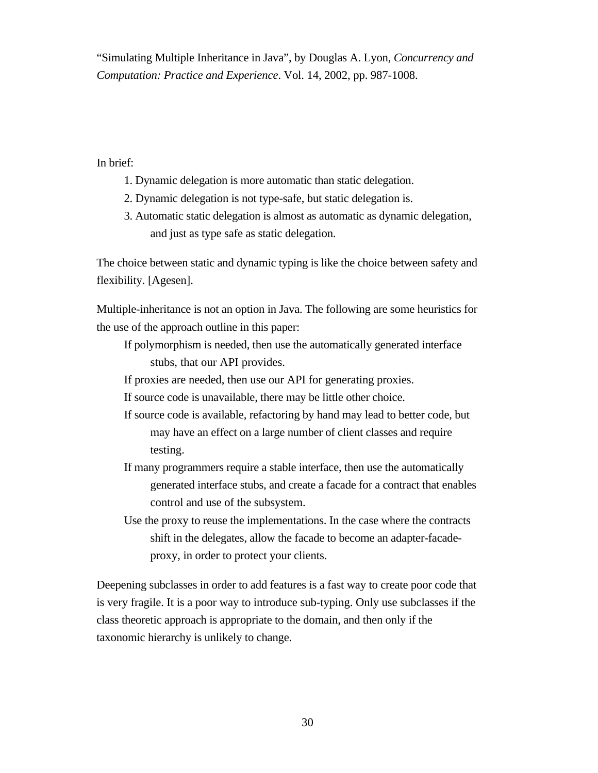In brief:

- 1. Dynamic delegation is more automatic than static delegation.
- 2. Dynamic delegation is not type-safe, but static delegation is.
- 3. Automatic static delegation is almost as automatic as dynamic delegation, and just as type safe as static delegation.

The choice between static and dynamic typing is like the choice between safety and flexibility. [Agesen].

Multiple-inheritance is not an option in Java. The following are some heuristics for the use of the approach outline in this paper:

If polymorphism is needed, then use the automatically generated interface stubs, that our API provides.

If proxies are needed, then use our API for generating proxies.

If source code is unavailable, there may be little other choice.

- If source code is available, refactoring by hand may lead to better code, but may have an effect on a large number of client classes and require testing.
- If many programmers require a stable interface, then use the automatically generated interface stubs, and create a facade for a contract that enables control and use of the subsystem.
- Use the proxy to reuse the implementations. In the case where the contracts shift in the delegates, allow the facade to become an adapter-facadeproxy, in order to protect your clients.

Deepening subclasses in order to add features is a fast way to create poor code that is very fragile. It is a poor way to introduce sub-typing. Only use subclasses if the class theoretic approach is appropriate to the domain, and then only if the taxonomic hierarchy is unlikely to change.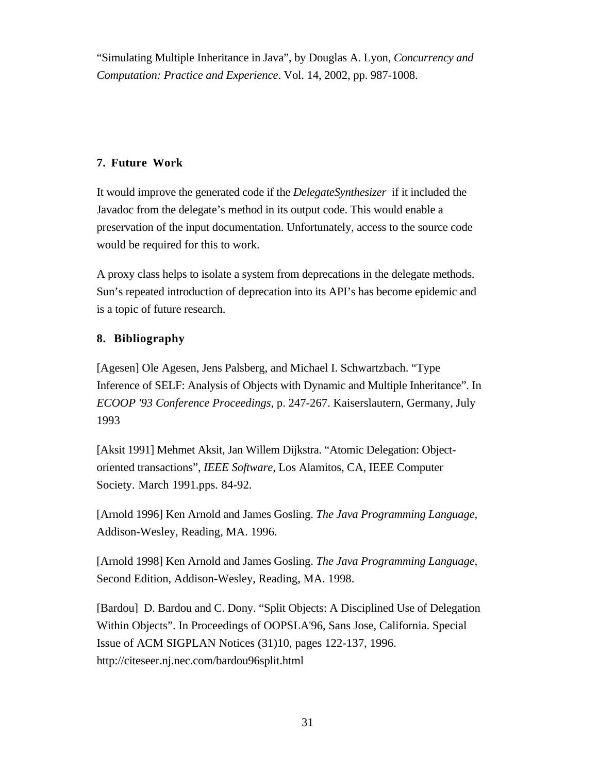# **7. Future Work**

It would improve the generated code if the *DelegateSynthesizer* if it included the Javadoc from the delegate's method in its output code. This would enable a preservation of the input documentation. Unfortunately, access to the source code would be required for this to work.

A proxy class helps to isolate a system from deprecations in the delegate methods. Sun's repeated introduction of deprecation into its API's has become epidemic and is a topic of future research.

# **8. Bibliography**

[Agesen] Ole Agesen, Jens Palsberg, and Michael I. Schwartzbach. "Type Inference of SELF: Analysis of Objects with Dynamic and Multiple Inheritance". In *ECOOP '93 Conference Proceedings*, p. 247-267. Kaiserslautern, Germany, July 1993

[Aksit 1991] Mehmet Aksit, Jan Willem Dijkstra. "Atomic Delegation: Objectoriented transactions", *IEEE Software*, Los Alamitos, CA, IEEE Computer Society. March 1991.pps. 84-92.

[Arnold 1996] Ken Arnold and James Gosling. *The Java Programming Language*, Addison-Wesley, Reading, MA. 1996.

[Arnold 1998] Ken Arnold and James Gosling. *The Java Programming Language*, Second Edition, Addison-Wesley, Reading, MA. 1998.

[Bardou] D. Bardou and C. Dony. "Split Objects: A Disciplined Use of Delegation Within Objects". In Proceedings of OOPSLA'96, Sans Jose, California. Special Issue of ACM SIGPLAN Notices (31)10, pages 122-137, 1996. http://citeseer.nj.nec.com/bardou96split.html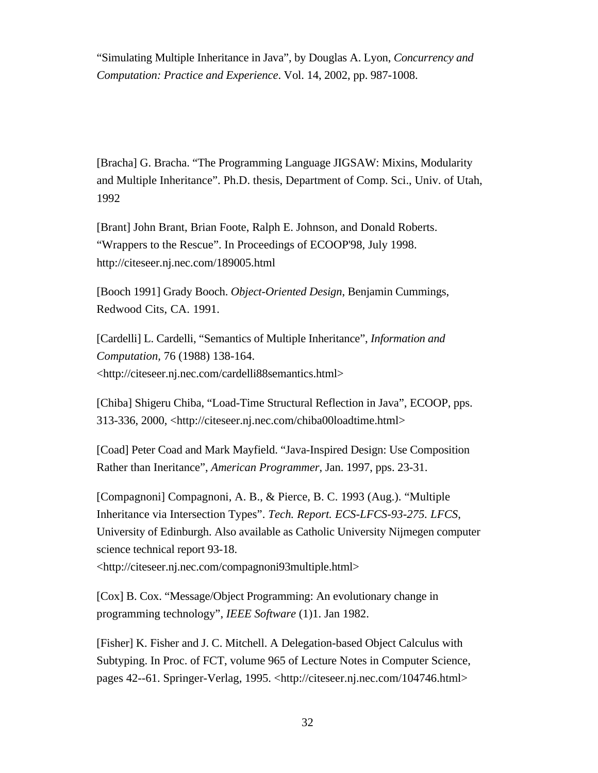[Bracha] G. Bracha. "The Programming Language JIGSAW: Mixins, Modularity and Multiple Inheritance". Ph.D. thesis, Department of Comp. Sci., Univ. of Utah, 1992

[Brant] John Brant, Brian Foote, Ralph E. Johnson, and Donald Roberts. "Wrappers to the Rescue". In Proceedings of ECOOP'98, July 1998. http://citeseer.nj.nec.com/189005.html

[Booch 1991] Grady Booch. *Object-Oriented Design*, Benjamin Cummings, Redwood Cits, CA. 1991.

[Cardelli] L. Cardelli, "Semantics of Multiple Inheritance", *Information and Computation,* 76 (1988) 138-164. <http://citeseer.nj.nec.com/cardelli88semantics.html>

[Chiba] Shigeru Chiba, "Load-Time Structural Reflection in Java", ECOOP, pps. 313-336, 2000, <http://citeseer.nj.nec.com/chiba00loadtime.html>

[Coad] Peter Coad and Mark Mayfield. "Java-Inspired Design: Use Composition Rather than Ineritance", *American Programmer*, Jan. 1997, pps. 23-31.

[Compagnoni] Compagnoni, A. B., & Pierce, B. C. 1993 (Aug.). "Multiple Inheritance via Intersection Types". *Tech. Report. ECS-LFCS-93-275. LFCS*, University of Edinburgh. Also available as Catholic University Nijmegen computer science technical report 93-18.

<http://citeseer.nj.nec.com/compagnoni93multiple.html>

[Cox] B. Cox. "Message/Object Programming: An evolutionary change in programming technology", *IEEE Software* (1)1. Jan 1982.

[Fisher] K. Fisher and J. C. Mitchell. A Delegation-based Object Calculus with Subtyping. In Proc. of FCT, volume 965 of Lecture Notes in Computer Science, pages 42--61. Springer-Verlag, 1995. <http://citeseer.nj.nec.com/104746.html>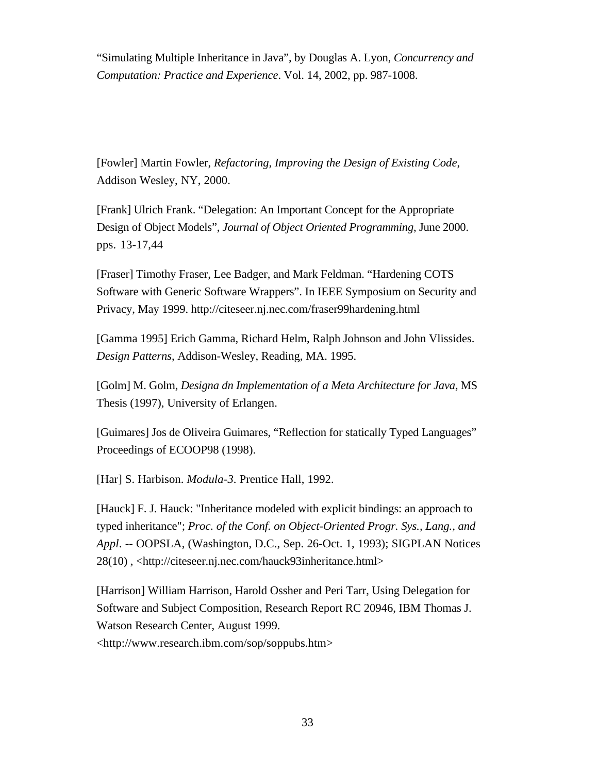[Fowler] Martin Fowler, *Refactoring, Improving the Design of Existing Code*, Addison Wesley, NY, 2000.

[Frank] Ulrich Frank. "Delegation: An Important Concept for the Appropriate Design of Object Models", *Journal of Object Oriented Programming*, June 2000. pps. 13-17,44

[Fraser] Timothy Fraser, Lee Badger, and Mark Feldman. "Hardening COTS Software with Generic Software Wrappers". In IEEE Symposium on Security and Privacy, May 1999. http://citeseer.nj.nec.com/fraser99hardening.html

[Gamma 1995] Erich Gamma, Richard Helm, Ralph Johnson and John Vlissides. *Design Patterns*, Addison-Wesley, Reading, MA. 1995.

[Golm] M. Golm, *Designa dn Implementation of a Meta Architecture for Java*, MS Thesis (1997), University of Erlangen.

[Guimares] Jos de Oliveira Guimares, "Reflection for statically Typed Languages" Proceedings of ECOOP98 (1998).

[Har] S. Harbison. *Modula-3*. Prentice Hall, 1992.

[Hauck] F. J. Hauck: "Inheritance modeled with explicit bindings: an approach to typed inheritance"; *Proc. of the Conf. on Object-Oriented Progr. Sys., Lang., and Appl*. -- OOPSLA, (Washington, D.C., Sep. 26-Oct. 1, 1993); SIGPLAN Notices 28(10) , <http://citeseer.nj.nec.com/hauck93inheritance.html>

[Harrison] William Harrison, Harold Ossher and Peri Tarr, Using Delegation for Software and Subject Composition, Research Report RC 20946, IBM Thomas J. Watson Research Center, August 1999. <http://www.research.ibm.com/sop/soppubs.htm>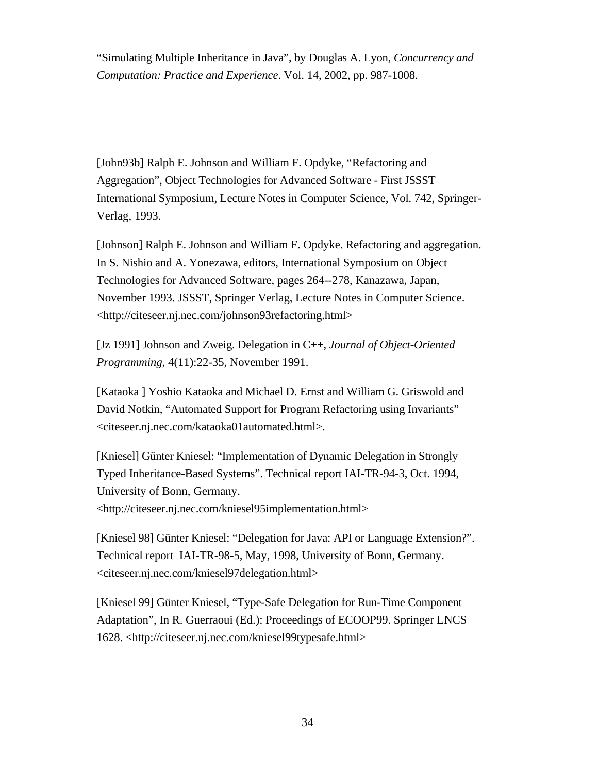[John93b] Ralph E. Johnson and William F. Opdyke, "Refactoring and Aggregation", Object Technologies for Advanced Software - First JSSST International Symposium, Lecture Notes in Computer Science, Vol. 742, Springer-Verlag, 1993.

[Johnson] Ralph E. Johnson and William F. Opdyke. Refactoring and aggregation. In S. Nishio and A. Yonezawa, editors, International Symposium on Object Technologies for Advanced Software, pages 264--278, Kanazawa, Japan, November 1993. JSSST, Springer Verlag, Lecture Notes in Computer Science. <http://citeseer.nj.nec.com/johnson93refactoring.html>

[Jz 1991] Johnson and Zweig. Delegation in C++, *Journal of Object-Oriented Programming*, 4(11):22-35, November 1991.

[Kataoka ] Yoshio Kataoka and Michael D. Ernst and William G. Griswold and David Notkin, "Automated Support for Program Refactoring using Invariants" <citeseer.nj.nec.com/kataoka01automated.html>.

[Kniesel] Günter Kniesel: "Implementation of Dynamic Delegation in Strongly Typed Inheritance-Based Systems". Technical report IAI-TR-94-3, Oct. 1994, University of Bonn, Germany. <http://citeseer.nj.nec.com/kniesel95implementation.html>

[Kniesel 98] Günter Kniesel: "Delegation for Java: API or Language Extension?". Technical report IAI-TR-98-5, May, 1998, University of Bonn, Germany. <citeseer.nj.nec.com/kniesel97delegation.html>

[Kniesel 99] Günter Kniesel, "Type-Safe Delegation for Run-Time Component Adaptation", In R. Guerraoui (Ed.): Proceedings of ECOOP99. Springer LNCS 1628. <http://citeseer.nj.nec.com/kniesel99typesafe.html>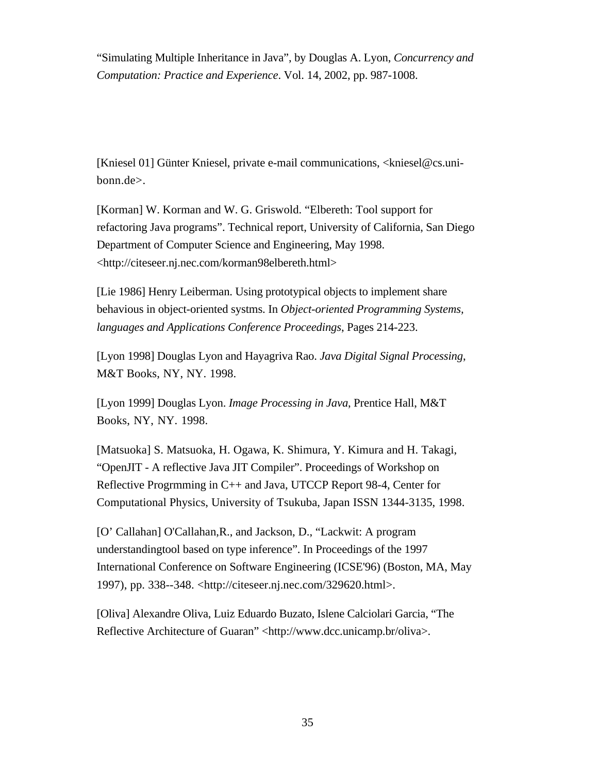[Kniesel 01] Günter Kniesel, private e-mail communications, <kniesel@cs.unibonn.de>.

[Korman] W. Korman and W. G. Griswold. "Elbereth: Tool support for refactoring Java programs". Technical report, University of California, San Diego Department of Computer Science and Engineering, May 1998. <http://citeseer.nj.nec.com/korman98elbereth.html>

[Lie 1986] Henry Leiberman. Using prototypical objects to implement share behavious in object-oriented systms. In *Object-oriented Programming Systems, languages and Applications Conference Proceedings*, Pages 214-223.

[Lyon 1998] Douglas Lyon and Hayagriva Rao. *Java Digital Signal Processing*, M&T Books, NY, NY. 1998.

[Lyon 1999] Douglas Lyon. *Image Processing in Java*, Prentice Hall, M&T Books, NY, NY. 1998.

[Matsuoka] S. Matsuoka, H. Ogawa, K. Shimura, Y. Kimura and H. Takagi, "OpenJIT - A reflective Java JIT Compiler". Proceedings of Workshop on Reflective Progrmming in C++ and Java, UTCCP Report 98-4, Center for Computational Physics, University of Tsukuba, Japan ISSN 1344-3135, 1998.

[O' Callahan] O'Callahan,R., and Jackson, D., "Lackwit: A program understandingtool based on type inference". In Proceedings of the 1997 International Conference on Software Engineering (ICSE'96) (Boston, MA, May 1997), pp. 338--348. <http://citeseer.nj.nec.com/329620.html>.

[Oliva] Alexandre Oliva, Luiz Eduardo Buzato, Islene Calciolari Garcia, "The Reflective Architecture of Guaran" <http://www.dcc.unicamp.br/oliva>.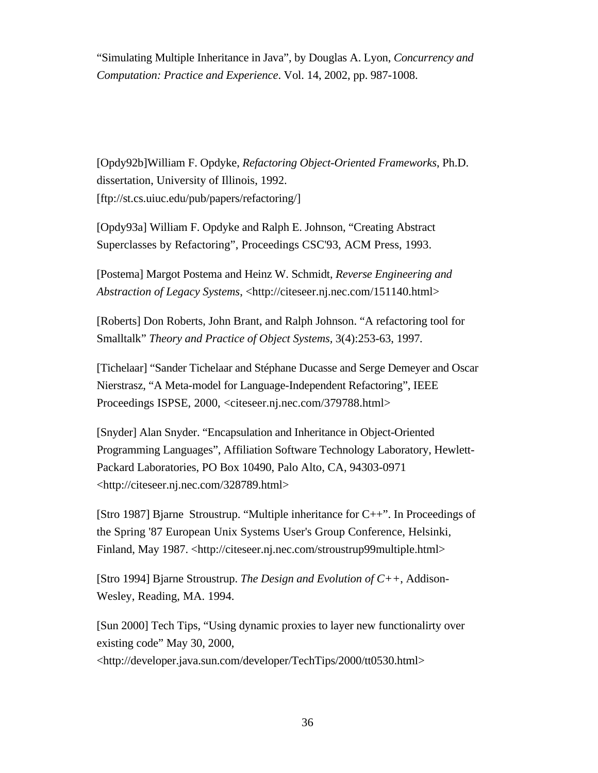[Opdy92b]William F. Opdyke, *Refactoring Object-Oriented Frameworks*, Ph.D. dissertation, University of Illinois, 1992. [ftp://st.cs.uiuc.edu/pub/papers/refactoring/]

[Opdy93a] William F. Opdyke and Ralph E. Johnson, "Creating Abstract Superclasses by Refactoring", Proceedings CSC'93, ACM Press, 1993.

[Postema] Margot Postema and Heinz W. Schmidt, *Reverse Engineering and Abstraction of Legacy Systems*, <http://citeseer.nj.nec.com/151140.html>

[Roberts] Don Roberts, John Brant, and Ralph Johnson. "A refactoring tool for Smalltalk" *Theory and Practice of Object Systems,* 3(4):253-63, 1997*.*

[Tichelaar] "Sander Tichelaar and Stéphane Ducasse and Serge Demeyer and Oscar Nierstrasz, "A Meta-model for Language-Independent Refactoring", IEEE Proceedings ISPSE, 2000, <citeseer.nj.nec.com/379788.html>

[Snyder] Alan Snyder. "Encapsulation and Inheritance in Object-Oriented Programming Languages", Affiliation Software Technology Laboratory, Hewlett-Packard Laboratories, PO Box 10490, Palo Alto, CA, 94303-0971 <http://citeseer.nj.nec.com/328789.html>

[Stro 1987] Bjarne Stroustrup. "Multiple inheritance for C++". In Proceedings of the Spring '87 European Unix Systems User's Group Conference, Helsinki, Finland, May 1987. <http://citeseer.nj.nec.com/stroustrup99multiple.html>

[Stro 1994] Bjarne Stroustrup. *The Design and Evolution of C++*, Addison-Wesley, Reading, MA. 1994.

[Sun 2000] Tech Tips, "Using dynamic proxies to layer new functionalirty over existing code" May 30, 2000, <http://developer.java.sun.com/developer/TechTips/2000/tt0530.html>